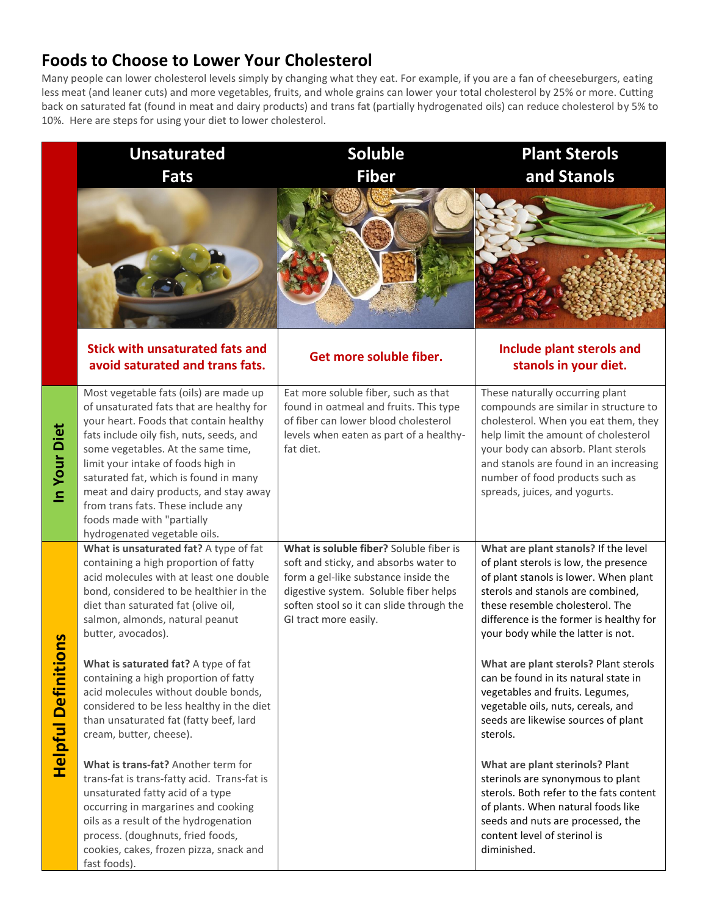## **Foods to Choose to Lower Your Cholesterol**

Many people can lower cholesterol levels simply by changing what they eat. For example, if you are a fan of cheeseburgers, eating less meat (and leaner cuts) and more vegetables, fruits, and whole grains can lower your total cholesterol by 25% or more. Cutting back on saturated fat (found in meat and dairy products) and trans fat (partially hydrogenated oils) can reduce cholesterol by 5% to 10%. Here are steps for using your diet to lower cholesterol.

|                         | <b>Unsaturated</b>                                                                                                                                                                                                                                                                                                                                                                                                                                                                                               | <b>Soluble</b>                                                                                                                                                                                                                         | <b>Plant Sterols</b>                                                                                                                                                                                                                                                                                                                                                                                                                                                                         |
|-------------------------|------------------------------------------------------------------------------------------------------------------------------------------------------------------------------------------------------------------------------------------------------------------------------------------------------------------------------------------------------------------------------------------------------------------------------------------------------------------------------------------------------------------|----------------------------------------------------------------------------------------------------------------------------------------------------------------------------------------------------------------------------------------|----------------------------------------------------------------------------------------------------------------------------------------------------------------------------------------------------------------------------------------------------------------------------------------------------------------------------------------------------------------------------------------------------------------------------------------------------------------------------------------------|
|                         | <b>Fats</b>                                                                                                                                                                                                                                                                                                                                                                                                                                                                                                      | <b>Fiber</b>                                                                                                                                                                                                                           | and Stanols                                                                                                                                                                                                                                                                                                                                                                                                                                                                                  |
|                         |                                                                                                                                                                                                                                                                                                                                                                                                                                                                                                                  |                                                                                                                                                                                                                                        |                                                                                                                                                                                                                                                                                                                                                                                                                                                                                              |
|                         | <b>Stick with unsaturated fats and</b><br>avoid saturated and trans fats.                                                                                                                                                                                                                                                                                                                                                                                                                                        | Get more soluble fiber.                                                                                                                                                                                                                | Include plant sterols and<br>stanols in your diet.                                                                                                                                                                                                                                                                                                                                                                                                                                           |
| In Your Diet            | Most vegetable fats (oils) are made up<br>of unsaturated fats that are healthy for<br>your heart. Foods that contain healthy<br>fats include oily fish, nuts, seeds, and<br>some vegetables. At the same time,<br>limit your intake of foods high in<br>saturated fat, which is found in many<br>meat and dairy products, and stay away<br>from trans fats. These include any<br>foods made with "partially<br>hydrogenated vegetable oils.                                                                      | Eat more soluble fiber, such as that<br>found in oatmeal and fruits. This type<br>of fiber can lower blood cholesterol<br>levels when eaten as part of a healthy-<br>fat diet.                                                         | These naturally occurring plant<br>compounds are similar in structure to<br>cholesterol. When you eat them, they<br>help limit the amount of cholesterol<br>your body can absorb. Plant sterols<br>and stanols are found in an increasing<br>number of food products such as<br>spreads, juices, and yogurts.                                                                                                                                                                                |
| Su<br>Helpful Definitio | What is unsaturated fat? A type of fat<br>containing a high proportion of fatty<br>acid molecules with at least one double<br>bond, considered to be healthier in the<br>diet than saturated fat (olive oil,<br>salmon, almonds, natural peanut<br>butter, avocados).<br>What is saturated fat? A type of fat<br>containing a high proportion of fatty<br>acid molecules without double bonds,<br>considered to be less healthy in the diet<br>than unsaturated fat (fatty beef, lard<br>cream, butter, cheese). | What is soluble fiber? Soluble fiber is<br>soft and sticky, and absorbs water to<br>form a gel-like substance inside the<br>digestive system. Soluble fiber helps<br>soften stool so it can slide through the<br>GI tract more easily. | What are plant stanols? If the level<br>of plant sterols is low, the presence<br>of plant stanols is lower. When plant<br>sterols and stanols are combined,<br>these resemble cholesterol. The<br>difference is the former is healthy for<br>your body while the latter is not.<br>What are plant sterols? Plant sterols<br>can be found in its natural state in<br>vegetables and fruits. Legumes,<br>vegetable oils, nuts, cereals, and<br>seeds are likewise sources of plant<br>sterols. |
|                         | What is trans-fat? Another term for<br>trans-fat is trans-fatty acid. Trans-fat is<br>unsaturated fatty acid of a type<br>occurring in margarines and cooking<br>oils as a result of the hydrogenation<br>process. (doughnuts, fried foods,<br>cookies, cakes, frozen pizza, snack and<br>fast foods).                                                                                                                                                                                                           |                                                                                                                                                                                                                                        | What are plant sterinols? Plant<br>sterinols are synonymous to plant<br>sterols. Both refer to the fats content<br>of plants. When natural foods like<br>seeds and nuts are processed, the<br>content level of sterinol is<br>diminished.                                                                                                                                                                                                                                                    |